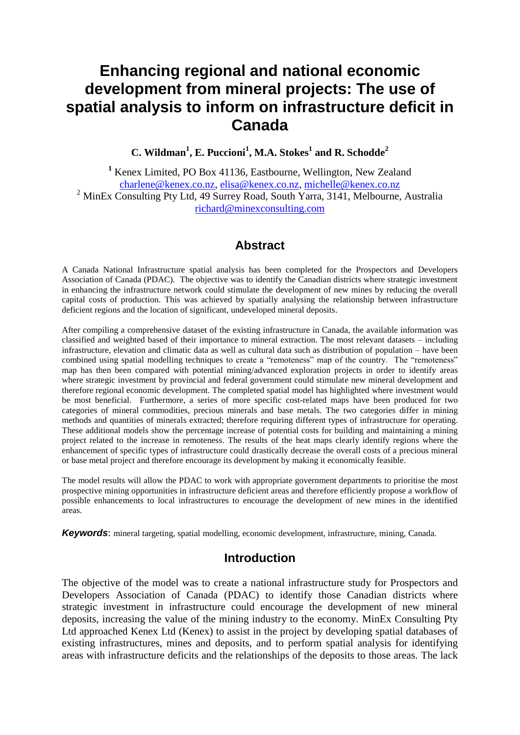# **Enhancing regional and national economic development from mineral projects: The use of spatial analysis to inform on infrastructure deficit in Canada**

**C. Wildman<sup>1</sup> , E. Puccioni<sup>1</sup> , M.A. Stokes<sup>1</sup> and R. Schodde<sup>2</sup>**

**<sup>1</sup>** Kenex Limited, PO Box 41136, Eastbourne, Wellington, New Zealand [charlene@kenex.co.nz,](mailto:charlene@kenex.co.nz) [elisa@kenex.co.nz,](mailto:elisa@kenex.co.nz) [michelle@kenex.co.nz](mailto:michelle@kenex.co.nz) <sup>2</sup> MinEx Consulting Pty Ltd, 49 Surrey Road, South Yarra, 3141, Melbourne, Australia [richard@minexconsulting.com](mailto:richard@minexconsulting.com)

## **Abstract**

A Canada National Infrastructure spatial analysis has been completed for the Prospectors and Developers Association of Canada (PDAC). The objective was to identify the Canadian districts where strategic investment in enhancing the infrastructure network could stimulate the development of new mines by reducing the overall capital costs of production. This was achieved by spatially analysing the relationship between infrastructure deficient regions and the location of significant, undeveloped mineral deposits.

After compiling a comprehensive dataset of the existing infrastructure in Canada, the available information was classified and weighted based of their importance to mineral extraction. The most relevant datasets – including infrastructure, elevation and climatic data as well as cultural data such as distribution of population – have been combined using spatial modelling techniques to create a "remoteness" map of the country. The "remoteness" map has then been compared with potential mining/advanced exploration projects in order to identify areas where strategic investment by provincial and federal government could stimulate new mineral development and therefore regional economic development. The completed spatial model has highlighted where investment would be most beneficial. Furthermore, a series of more specific cost-related maps have been produced for two categories of mineral commodities, precious minerals and base metals. The two categories differ in mining methods and quantities of minerals extracted; therefore requiring different types of infrastructure for operating. These additional models show the percentage increase of potential costs for building and maintaining a mining project related to the increase in remoteness. The results of the heat maps clearly identify regions where the enhancement of specific types of infrastructure could drastically decrease the overall costs of a precious mineral or base metal project and therefore encourage its development by making it economically feasible.

The model results will allow the PDAC to work with appropriate government departments to prioritise the most prospective mining opportunities in infrastructure deficient areas and therefore efficiently propose a workflow of possible enhancements to local infrastructures to encourage the development of new mines in the identified areas.

*Keywords*: mineral targeting, spatial modelling, economic development, infrastructure, mining, Canada.

## **Introduction**

The objective of the model was to create a national infrastructure study for Prospectors and Developers Association of Canada (PDAC) to identify those Canadian districts where strategic investment in infrastructure could encourage the development of new mineral deposits, increasing the value of the mining industry to the economy. MinEx Consulting Pty Ltd approached Kenex Ltd (Kenex) to assist in the project by developing spatial databases of existing infrastructures, mines and deposits, and to perform spatial analysis for identifying areas with infrastructure deficits and the relationships of the deposits to those areas. The lack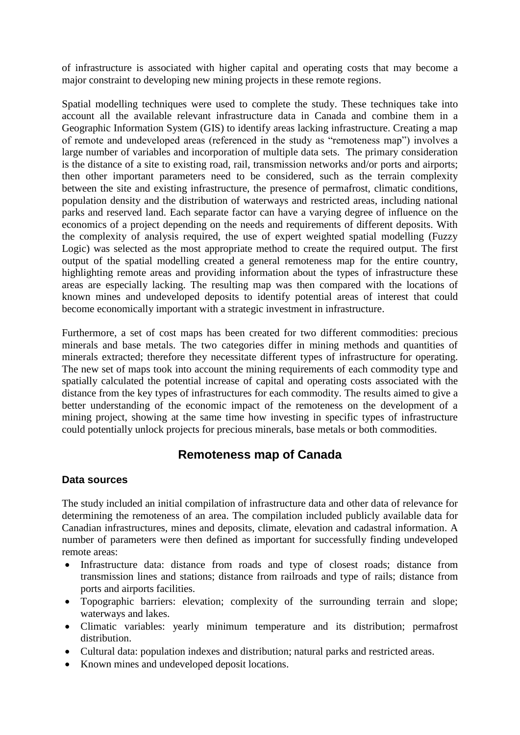of infrastructure is associated with higher capital and operating costs that may become a major constraint to developing new mining projects in these remote regions.

Spatial modelling techniques were used to complete the study. These techniques take into account all the available relevant infrastructure data in Canada and combine them in a Geographic Information System (GIS) to identify areas lacking infrastructure. Creating a map of remote and undeveloped areas (referenced in the study as "remoteness map") involves a large number of variables and incorporation of multiple data sets. The primary consideration is the distance of a site to existing road, rail, transmission networks and/or ports and airports; then other important parameters need to be considered, such as the terrain complexity between the site and existing infrastructure, the presence of permafrost, climatic conditions, population density and the distribution of waterways and restricted areas, including national parks and reserved land. Each separate factor can have a varying degree of influence on the economics of a project depending on the needs and requirements of different deposits. With the complexity of analysis required, the use of expert weighted spatial modelling (Fuzzy Logic) was selected as the most appropriate method to create the required output. The first output of the spatial modelling created a general remoteness map for the entire country, highlighting remote areas and providing information about the types of infrastructure these areas are especially lacking. The resulting map was then compared with the locations of known mines and undeveloped deposits to identify potential areas of interest that could become economically important with a strategic investment in infrastructure.

Furthermore, a set of cost maps has been created for two different commodities: precious minerals and base metals. The two categories differ in mining methods and quantities of minerals extracted; therefore they necessitate different types of infrastructure for operating. The new set of maps took into account the mining requirements of each commodity type and spatially calculated the potential increase of capital and operating costs associated with the distance from the key types of infrastructures for each commodity. The results aimed to give a better understanding of the economic impact of the remoteness on the development of a mining project, showing at the same time how investing in specific types of infrastructure could potentially unlock projects for precious minerals, base metals or both commodities.

# **Remoteness map of Canada**

#### **Data sources**

The study included an initial compilation of infrastructure data and other data of relevance for determining the remoteness of an area. The compilation included publicly available data for Canadian infrastructures, mines and deposits, climate, elevation and cadastral information. A number of parameters were then defined as important for successfully finding undeveloped remote areas:

- Infrastructure data: distance from roads and type of closest roads; distance from transmission lines and stations; distance from railroads and type of rails; distance from ports and airports facilities.
- Topographic barriers: elevation; complexity of the surrounding terrain and slope; waterways and lakes.
- Climatic variables: yearly minimum temperature and its distribution; permafrost distribution.
- Cultural data: population indexes and distribution; natural parks and restricted areas.
- Known mines and undeveloped deposit locations.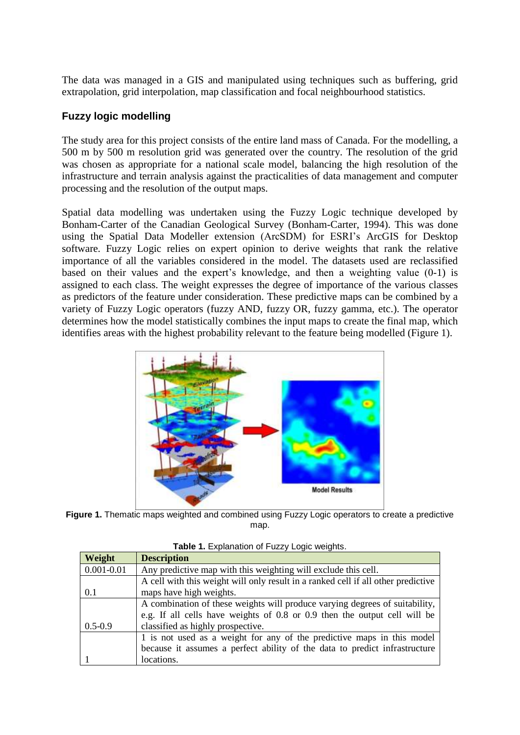The data was managed in a GIS and manipulated using techniques such as buffering, grid extrapolation, grid interpolation, map classification and focal neighbourhood statistics.

### **Fuzzy logic modelling**

The study area for this project consists of the entire land mass of Canada. For the modelling, a 500 m by 500 m resolution grid was generated over the country. The resolution of the grid was chosen as appropriate for a national scale model, balancing the high resolution of the infrastructure and terrain analysis against the practicalities of data management and computer processing and the resolution of the output maps.

Spatial data modelling was undertaken using the Fuzzy Logic technique developed by Bonham-Carter of the Canadian Geological Survey (Bonham-Carter, 1994). This was done using the Spatial Data Modeller extension (ArcSDM) for ESRI's ArcGIS for Desktop software. Fuzzy Logic relies on expert opinion to derive weights that rank the relative importance of all the variables considered in the model. The datasets used are reclassified based on their values and the expert's knowledge, and then a weighting value (0-1) is assigned to each class. The weight expresses the degree of importance of the various classes as predictors of the feature under consideration. These predictive maps can be combined by a variety of Fuzzy Logic operators (fuzzy AND, fuzzy OR, fuzzy gamma, etc.). The operator determines how the model statistically combines the input maps to create the final map, which identifies areas with the highest probability relevant to the feature being modelled [\(Figure 1\)](#page-2-0).



<span id="page-2-0"></span>**Figure 1.** Thematic maps weighted and combined using Fuzzy Logic operators to create a predictive map.

<span id="page-2-1"></span>

| Weight         | <b>Description</b>                                                                |
|----------------|-----------------------------------------------------------------------------------|
| $0.001 - 0.01$ | Any predictive map with this weighting will exclude this cell.                    |
|                | A cell with this weight will only result in a ranked cell if all other predictive |
| 0.1            | maps have high weights.                                                           |
|                | A combination of these weights will produce varying degrees of suitability,       |
|                | e.g. If all cells have weights of 0.8 or 0.9 then the output cell will be         |
| $0.5 - 0.9$    | classified as highly prospective.                                                 |
|                | 1 is not used as a weight for any of the predictive maps in this model            |
|                | because it assumes a perfect ability of the data to predict infrastructure        |
|                | locations.                                                                        |

**Table 1.** Explanation of Fuzzy Logic weights.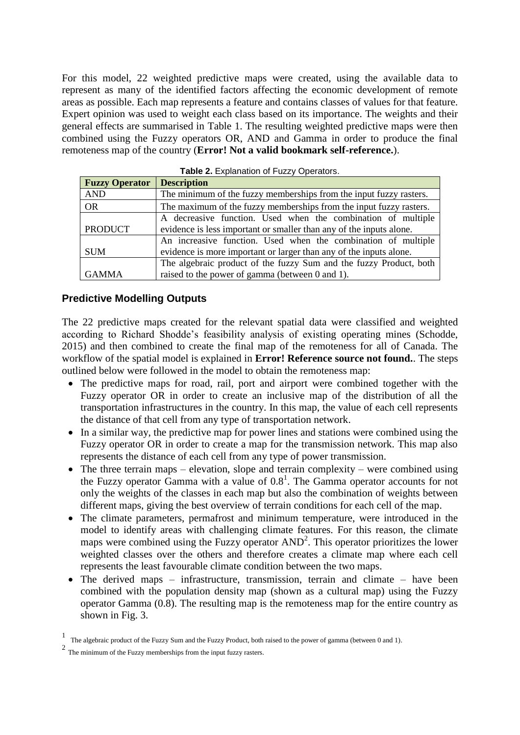For this model, 22 weighted predictive maps were created, using the available data to represent as many of the identified factors affecting the economic development of remote areas as possible. Each map represents a feature and contains classes of values for that feature. Expert opinion was used to weight each class based on its importance. The weights and their general effects are summarised in [Table 1.](#page-2-1) The resulting weighted predictive maps were then combined using the Fuzzy operators OR, AND and Gamma in order to produce the final remoteness map of the country (**Error! Not a valid bookmark self-reference.**).

| <b>Fuzzy Operator</b> | <b>Description</b>                                                  |  |  |  |  |  |
|-----------------------|---------------------------------------------------------------------|--|--|--|--|--|
| <b>AND</b>            | The minimum of the fuzzy memberships from the input fuzzy rasters.  |  |  |  |  |  |
| <b>OR</b>             | The maximum of the fuzzy memberships from the input fuzzy rasters.  |  |  |  |  |  |
|                       | A decreasive function. Used when the combination of multiple        |  |  |  |  |  |
| <b>PRODUCT</b>        | evidence is less important or smaller than any of the inputs alone. |  |  |  |  |  |
|                       | An increasive function. Used when the combination of multiple       |  |  |  |  |  |
| <b>SUM</b>            | evidence is more important or larger than any of the inputs alone.  |  |  |  |  |  |
|                       | The algebraic product of the fuzzy Sum and the fuzzy Product, both  |  |  |  |  |  |
| <b>GAMMA</b>          | raised to the power of gamma (between 0 and 1).                     |  |  |  |  |  |

**Table 2. Explanation of Fuzzy Operators.** 

#### **Predictive Modelling Outputs**

The 22 predictive maps created for the relevant spatial data were classified and weighted according to Richard Shodde's feasibility analysis of existing operating mines (Schodde, 2015) and then combined to create the final map of the remoteness for all of Canada. The workflow of the spatial model is explained in **Error! Reference source not found.**. The steps outlined below were followed in the model to obtain the remoteness map:

- The predictive maps for road, rail, port and airport were combined together with the Fuzzy operator OR in order to create an inclusive map of the distribution of all the transportation infrastructures in the country. In this map, the value of each cell represents the distance of that cell from any type of transportation network.
- In a similar way, the predictive map for power lines and stations were combined using the Fuzzy operator OR in order to create a map for the transmission network. This map also represents the distance of each cell from any type of power transmission.
- $\bullet$  The three terrain maps elevation, slope and terrain complexity were combined using the Fuzzy operator Gamma with a value of  $0.8<sup>1</sup>$ . The Gamma operator accounts for not only the weights of the classes in each map but also the combination of weights between different maps, giving the best overview of terrain conditions for each cell of the map.
- The climate parameters, permafrost and minimum temperature, were introduced in the model to identify areas with challenging climate features. For this reason, the climate maps were combined using the Fuzzy operator AND<sup>2</sup>. This operator prioritizes the lower weighted classes over the others and therefore creates a climate map where each cell represents the least favourable climate condition between the two maps.
- The derived maps infrastructure, transmission, terrain and climate have been combined with the population density map (shown as a cultural map) using the Fuzzy operator Gamma (0.8). The resulting map is the remoteness map for the entire country as shown in Fig. 3.

<sup>1</sup> The algebraic product of the Fuzzy Sum and the Fuzzy Product, both raised to the power of gamma (between 0 and 1).

 $2$  The minimum of the Fuzzy memberships from the input fuzzy rasters.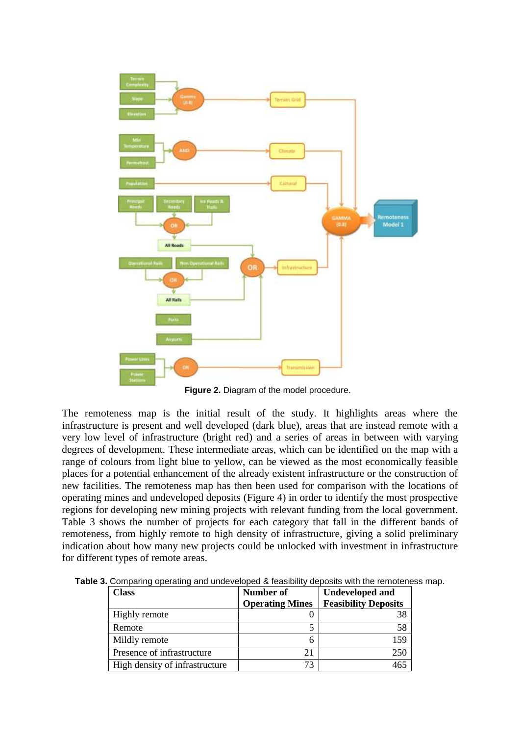

Figure 2. Diagram of the model procedure.

The remoteness map is the initial result of the study. It highlights areas where the infrastructure is present and well developed (dark blue), areas that are instead remote with a very low level of infrastructure (bright red) and a series of areas in between with varying degrees of development. These intermediate areas, which can be identified on the map with a range of colours from light blue to yellow, can be viewed as the most economically feasible places for a potential enhancement of the already existent infrastructure or the construction of new facilities. The remoteness map has then been used for comparison with the locations of operating mines and undeveloped deposits [\(Figure 4\)](#page-5-0) in order to identify the most prospective regions for developing new mining projects with relevant funding from the local government. [Table 3](#page-4-0) shows the number of projects for each category that fall in the different bands of remoteness, from highly remote to high density of infrastructure, giving a solid preliminary indication about how many new projects could be unlocked with investment in infrastructure for different types of remote areas.

| <b>Class</b>                   | Number of              | <b>Undeveloped and</b>      |  |  |
|--------------------------------|------------------------|-----------------------------|--|--|
|                                | <b>Operating Mines</b> | <b>Feasibility Deposits</b> |  |  |
| Highly remote                  |                        | 38                          |  |  |
| Remote                         |                        | 58                          |  |  |
| Mildly remote                  | h                      | 159                         |  |  |
| Presence of infrastructure     |                        | 250                         |  |  |
| High density of infrastructure | 73                     |                             |  |  |

<span id="page-4-0"></span>**Table 3.** Comparing operating and undeveloped & feasibility deposits with the remoteness map.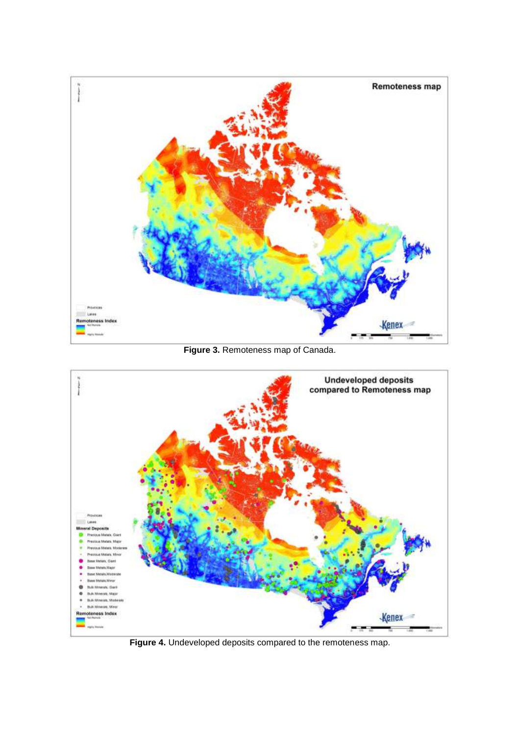

**Figure 3. Remoteness map of Canada.** 



<span id="page-5-0"></span>**Figure 4.** Undeveloped deposits compared to the remoteness map.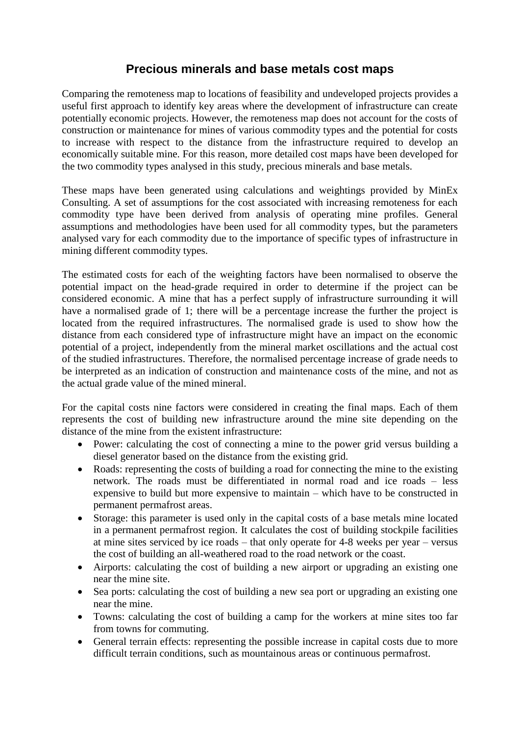# **Precious minerals and base metals cost maps**

Comparing the remoteness map to locations of feasibility and undeveloped projects provides a useful first approach to identify key areas where the development of infrastructure can create potentially economic projects. However, the remoteness map does not account for the costs of construction or maintenance for mines of various commodity types and the potential for costs to increase with respect to the distance from the infrastructure required to develop an economically suitable mine. For this reason, more detailed cost maps have been developed for the two commodity types analysed in this study, precious minerals and base metals.

These maps have been generated using calculations and weightings provided by MinEx Consulting. A set of assumptions for the cost associated with increasing remoteness for each commodity type have been derived from analysis of operating mine profiles. General assumptions and methodologies have been used for all commodity types, but the parameters analysed vary for each commodity due to the importance of specific types of infrastructure in mining different commodity types.

The estimated costs for each of the weighting factors have been normalised to observe the potential impact on the head-grade required in order to determine if the project can be considered economic. A mine that has a perfect supply of infrastructure surrounding it will have a normalised grade of 1; there will be a percentage increase the further the project is located from the required infrastructures. The normalised grade is used to show how the distance from each considered type of infrastructure might have an impact on the economic potential of a project, independently from the mineral market oscillations and the actual cost of the studied infrastructures. Therefore, the normalised percentage increase of grade needs to be interpreted as an indication of construction and maintenance costs of the mine, and not as the actual grade value of the mined mineral.

For the capital costs nine factors were considered in creating the final maps. Each of them represents the cost of building new infrastructure around the mine site depending on the distance of the mine from the existent infrastructure:

- Power: calculating the cost of connecting a mine to the power grid versus building a diesel generator based on the distance from the existing grid.
- Roads: representing the costs of building a road for connecting the mine to the existing network. The roads must be differentiated in normal road and ice roads – less expensive to build but more expensive to maintain – which have to be constructed in permanent permafrost areas.
- Storage: this parameter is used only in the capital costs of a base metals mine located in a permanent permafrost region. It calculates the cost of building stockpile facilities at mine sites serviced by ice roads – that only operate for 4-8 weeks per year – versus the cost of building an all-weathered road to the road network or the coast.
- Airports: calculating the cost of building a new airport or upgrading an existing one near the mine site.
- Sea ports: calculating the cost of building a new sea port or upgrading an existing one near the mine.
- Towns: calculating the cost of building a camp for the workers at mine sites too far from towns for commuting.
- General terrain effects: representing the possible increase in capital costs due to more difficult terrain conditions, such as mountainous areas or continuous permafrost.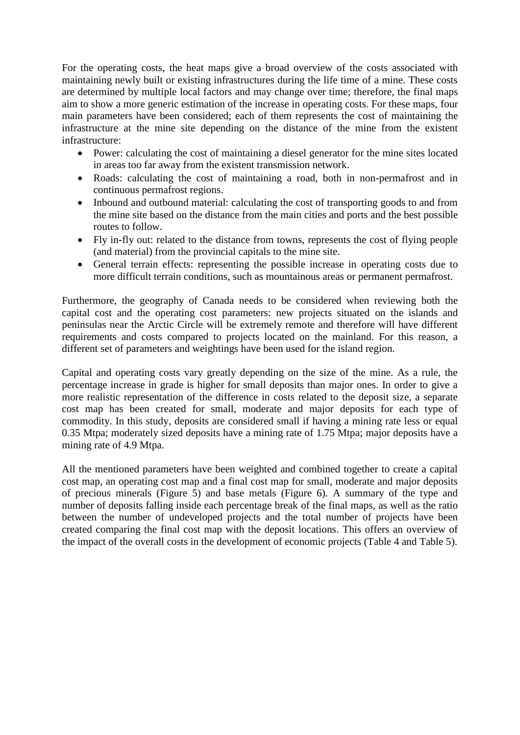For the operating costs, the heat maps give a broad overview of the costs associated with maintaining newly built or existing infrastructures during the life time of a mine. These costs are determined by multiple local factors and may change over time; therefore, the final maps aim to show a more generic estimation of the increase in operating costs. For these maps, four main parameters have been considered; each of them represents the cost of maintaining the infrastructure at the mine site depending on the distance of the mine from the existent infrastructure:

- Power: calculating the cost of maintaining a diesel generator for the mine sites located in areas too far away from the existent transmission network.
- Roads: calculating the cost of maintaining a road, both in non-permafrost and in continuous permafrost regions.
- Inbound and outbound material: calculating the cost of transporting goods to and from the mine site based on the distance from the main cities and ports and the best possible routes to follow.
- Fly in-fly out: related to the distance from towns, represents the cost of flying people (and material) from the provincial capitals to the mine site.
- General terrain effects: representing the possible increase in operating costs due to more difficult terrain conditions, such as mountainous areas or permanent permafrost.

Furthermore, the geography of Canada needs to be considered when reviewing both the capital cost and the operating cost parameters: new projects situated on the islands and peninsulas near the Arctic Circle will be extremely remote and therefore will have different requirements and costs compared to projects located on the mainland. For this reason, a different set of parameters and weightings have been used for the island region.

Capital and operating costs vary greatly depending on the size of the mine. As a rule, the percentage increase in grade is higher for small deposits than major ones. In order to give a more realistic representation of the difference in costs related to the deposit size, a separate cost map has been created for small, moderate and major deposits for each type of commodity. In this study, deposits are considered small if having a mining rate less or equal 0.35 Mtpa; moderately sized deposits have a mining rate of 1.75 Mtpa; major deposits have a mining rate of 4.9 Mtpa.

All the mentioned parameters have been weighted and combined together to create a capital cost map, an operating cost map and a final cost map for small, moderate and major deposits of precious minerals [\(Figure 5\)](#page-8-0) and base metals [\(Figure 6\)](#page-9-0). A summary of the type and number of deposits falling inside each percentage break of the final maps, as well as the ratio between the number of undeveloped projects and the total number of projects have been created comparing the final cost map with the deposit locations. This offers an overview of the impact of the overall costs in the development of economic projects [\(Table 4](#page-8-1) and [Table 5\)](#page-8-2).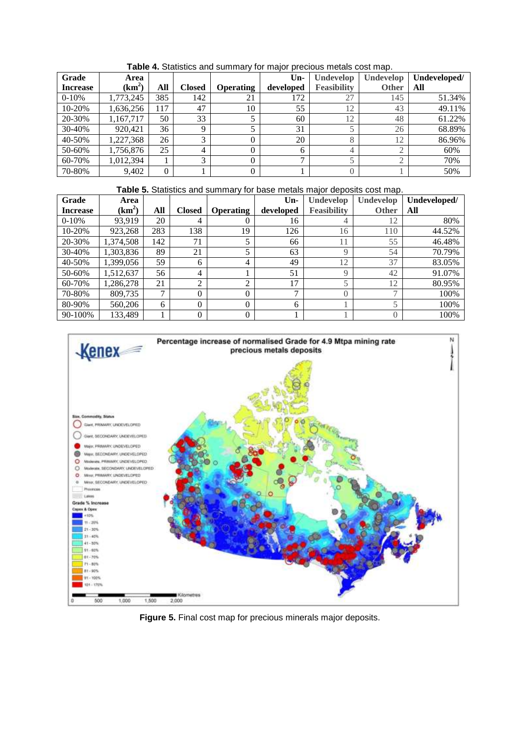<span id="page-8-1"></span>

| Grade           | Area      |     |                |                  | $Un-$         | Undevelop          | Undevelop    | Undeveloped/ |
|-----------------|-----------|-----|----------------|------------------|---------------|--------------------|--------------|--------------|
| <b>Increase</b> | $(km^2)$  | All | <b>Closed</b>  | <b>Operating</b> | developed     | <b>Feasibility</b> | <b>Other</b> | All          |
| $0-10%$         | 1,773,245 | 385 | 142            | 21               | 172           | 27                 | 145          | 51.34%       |
| 10-20%          | 1,636,256 | 117 | 47             | 10               | 55            | 12                 | 43           | 49.11%       |
| 20-30%          | 1,167,717 | 50  | 33             |                  | 60            | 12                 | 48           | 61.22%       |
| 30-40%          | 920.421   | 36  | $\mathbf Q$    |                  | 31            |                    | 26           | 68.89%       |
| 40-50%          | 1,227,368 | 26  | 3              |                  | 20            | 8                  | 12           | 86.96%       |
| 50-60%          | 1,756,876 | 25  | $\overline{4}$ |                  | 6             | 4                  | $\bigcap$    | 60%          |
| 60-70%          | 1,012,394 |     | 3              | 0                | $\mathcal{L}$ |                    | $\bigcap$    | 70%          |
| 70-80%          | 9,402     |     |                |                  |               |                    |              | 50%          |

**Table 4.** Statistics and summary for major precious metals cost map.

**Table 5.** Statistics and summary for base metals major deposits cost map.

<span id="page-8-2"></span>

| Grade           | Area      |               |                |                  | $Un-$     | Undevelop          | Undevelop                | Undeveloped/ |
|-----------------|-----------|---------------|----------------|------------------|-----------|--------------------|--------------------------|--------------|
| <b>Increase</b> | $(km^2)$  | All           | <b>Closed</b>  | <b>Operating</b> | developed | <b>Feasibility</b> | <b>Other</b>             | All          |
| $0-10%$         | 93.919    | 20            | 4              |                  | 16        | 4                  | 12                       | 80%          |
| 10-20%          | 923,268   | 283           | 138            | 19               | 126       | 16                 | 110                      | 44.52%       |
| 20-30%          | 1.374.508 | 142           | 71             | 5                | 66        | 11                 | 55                       | 46.48%       |
| 30-40%          | 1.303.836 | 89            | 21             | ς                | 63        | Q                  | 54                       | 70.79%       |
| 40-50%          | 1.399.056 | 59            | 6              | 4                | 49        | 12                 | 37                       | 83.05%       |
| 50-60%          | 1.512.637 | 56            | 4              |                  | 51        | $\mathbf Q$        | 42                       | 91.07%       |
| 60-70%          | 1,286,278 | 21            | $\overline{c}$ | ◠                | 17        |                    | 12                       | 80.95%       |
| 70-80%          | 809.735   | $\mathcal{L}$ | $\theta$       |                  | ⇁         | $\Omega$           | $\overline{\phantom{0}}$ | 100%         |
| 80-90%          | 560,206   | 6             | $\theta$       | 0                | 6         |                    | 5                        | 100%         |
| 90-100%         | 133,489   |               | 0              | 0                |           |                    | $\overline{0}$           | 100%         |



<span id="page-8-0"></span>**Figure 5.** Final cost map for precious minerals major deposits.